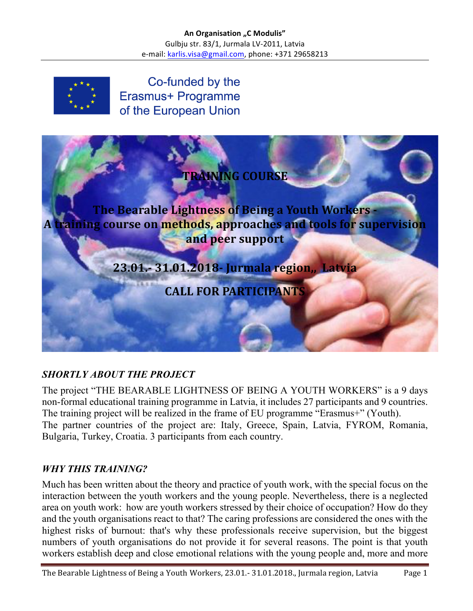

Co-funded by the Erasmus+ Programme of the European Union



# *SHORTLY ABOUT THE PROJECT*

The project "THE BEARABLE LIGHTNESS OF BEING A YOUTH WORKERS" is a 9 days non-formal educational training programme in Latvia, it includes 27 participants and 9 countries. The training project will be realized in the frame of EU programme "Erasmus+" (Youth). The partner countries of the project are: Italy, Greece, Spain, Latvia, FYROM, Romania, Bulgaria, Turkey, Croatia. 3 participants from each country.

## *WHY THIS TRAINING?*

Much has been written about the theory and practice of youth work, with the special focus on the interaction between the youth workers and the young people. Nevertheless, there is a neglected area on youth work: how are youth workers stressed by their choice of occupation? How do they and the youth organisations react to that? The caring professions are considered the ones with the highest risks of burnout: that's why these professionals receive supervision, but the biggest numbers of youth organisations do not provide it for several reasons. The point is that youth workers establish deep and close emotional relations with the young people and, more and more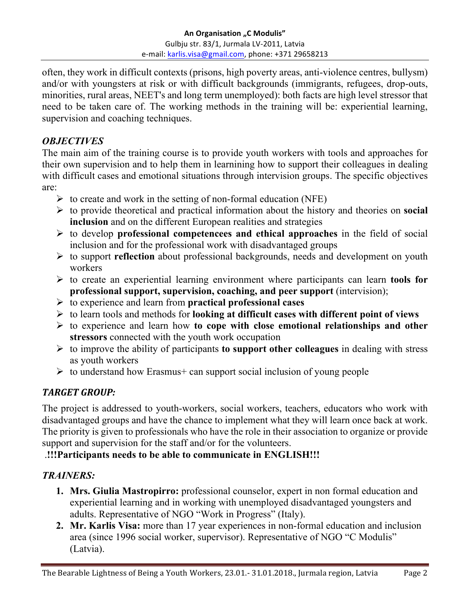often, they work in difficult contexts (prisons, high poverty areas, anti-violence centres, bullysm) and/or with youngsters at risk or with difficult backgrounds (immigrants, refugees, drop-outs, minorities, rural areas, NEET's and long term unemployed): both facts are high level stressor that need to be taken care of. The working methods in the training will be: experiential learning, supervision and coaching techniques.

## *OBJECTIVES*

The main aim of the training course is to provide youth workers with tools and approaches for their own supervision and to help them in learnining how to support their colleagues in dealing with difficult cases and emotional situations through intervision groups. The specific objectives are:

- $\triangleright$  to create and work in the setting of non-formal education (NFE)
- Ø to provide theoretical and practical information about the history and theories on **social inclusion** and on the different European realities and strategies
- Ø to develop **professional competencees and ethical approaches** in the field of social inclusion and for the professional work with disadvantaged groups
- Ø to support **reflection** about professional backgrounds, needs and development on youth workers
- Ø to create an experiential learning environment where participants can learn **tools for professional support, supervision, coaching, and peer support** (intervision);
- Ø to experience and learn from **practical professional cases**
- Ø to learn tools and methods for **looking at difficult cases with different point of views**
- Ø to experience and learn how **to cope with close emotional relationships and other stressors** connected with the youth work occupation
- Ø to improve the ability of participants **to support other colleagues** in dealing with stress as youth workers
- $\triangleright$  to understand how Erasmus + can support social inclusion of young people

## *TARGET GROUP:*

The project is addressed to youth-workers, social workers, teachers, educators who work with disadvantaged groups and have the chance to implement what they will learn once back at work. The priority is given to professionals who have the role in their association to organize or provide support and supervision for the staff and/or for the volunteers.

### .**!!!Participants needs to be able to communicate in ENGLISH!!!**

## *TRAINERS:*

- **1. Mrs. Giulia Mastropirro:** professional counselor, expert in non formal education and experiential learning and in working with unemployed disadvantaged youngsters and adults. Representative of NGO "Work in Progress" (Italy).
- **2. Mr. Karlis Visa:** more than 17 year experiences in non-formal education and inclusion area (since 1996 social worker, supervisor). Representative of NGO "C Modulis" (Latvia).